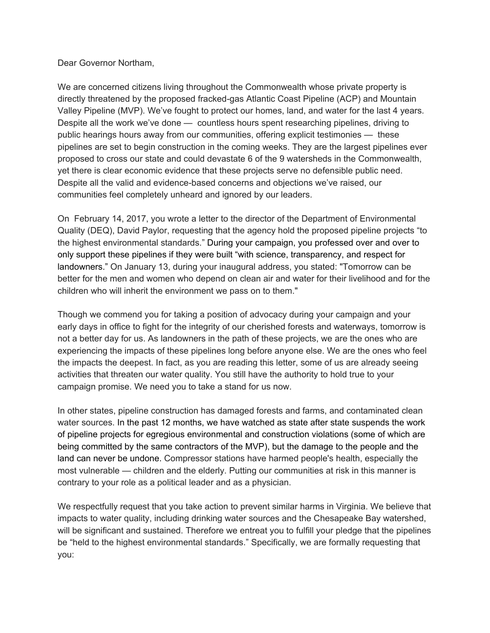Dear Governor Northam,

We are concerned citizens living throughout the Commonwealth whose private property is directly threatened by the proposed fracked-gas Atlantic Coast Pipeline (ACP) and Mountain Valley Pipeline (MVP). We've fought to protect our homes, land, and water for the last 4 years. Despite all the work we've done — countless hours spent researching pipelines, driving to public hearings hours away from our communities, offering explicit testimonies — these pipelines are set to begin construction in the coming weeks. They are the largest pipelines ever proposed to cross our state and could devastate 6 of the 9 watersheds in the Commonwealth, yet there is clear economic evidence that these projects serve no defensible public need. Despite all the valid and evidence-based concerns and objections we've raised, our communities feel completely unheard and ignored by our leaders.

On February 14, 2017, you wrote a letter to the director of the Department of Environmental Quality (DEQ), David Paylor, requesting that the agency hold the proposed pipeline projects "to the highest environmental standards." During your campaign, you professed over and over to only support these pipelines if they were built "with science, transparency, and respect for landowners." On January 13, during your inaugural address, you stated: "Tomorrow can be better for the men and women who depend on clean air and water for their livelihood and for the children who will inherit the environment we pass on to them."

Though we commend you for taking a position of advocacy during your campaign and your early days in office to fight for the integrity of our cherished forests and waterways, tomorrow is not a better day for us. As landowners in the path of these projects, we are the ones who are experiencing the impacts of these pipelines long before anyone else. We are the ones who feel the impacts the deepest. In fact, as you are reading this letter, some of us are already seeing activities that threaten our water quality. You still have the authority to hold true to your campaign promise. We need you to take a stand for us now.

In other states, pipeline construction has damaged forests and farms, and contaminated clean water sources. In the past 12 months, we have watched as state after state suspends the work of pipeline projects for egregious environmental and construction violations (some of which are being committed by the same contractors of the MVP), but the damage to the people and the land can never be undone. Compressor stations have harmed people's health, especially the most vulnerable — children and the elderly. Putting our communities at risk in this manner is contrary to your role as a political leader and as a physician.

We respectfully request that you take action to prevent similar harms in Virginia. We believe that impacts to water quality, including drinking water sources and the Chesapeake Bay watershed, will be significant and sustained. Therefore we entreat you to fulfill your pledge that the pipelines be "held to the highest environmental standards." Specifically, we are formally requesting that you: